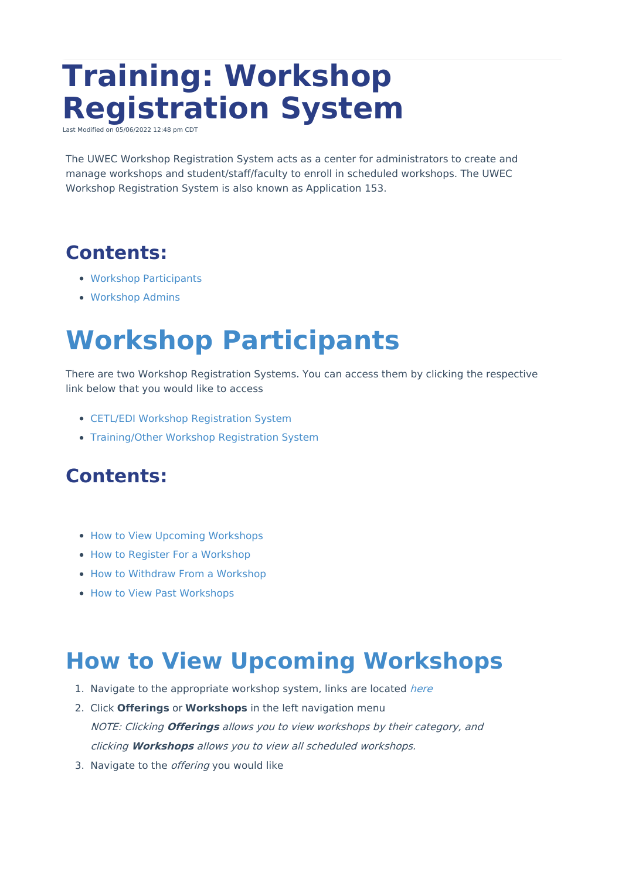# **Training: Workshop Registration System**

dified on 05/0 022 1 2:48 CDT

The UWEC Workshop Registration System acts as a center for administrators to create and manage workshops and student/staff/faculty to enroll in scheduled workshops. The UWEC Workshop Registration System is also known as Application 153.

## **Contents:**

- Workshop [Participants](http://kb.uwec.edu/#Workshop%20Participants%20Section)
- [Workshop](http://kb.uwec.edu/#Workshop%20Admins%20Section) Admins

## **Workshop Participants**

There are two Workshop Registration Systems. You can access them by clicking the respective link below that you would like to access

- CETL/EDI Workshop [Registration](https://cetlregistration.apps.uwec.edu/workshops) System
- [Training/Other](https://training.apps.uwec.edu/) Workshop Registration System

## **Contents:**

- How to View Upcoming [Workshops](http://kb.uwec.edu/#How%20to%20View%20Upcoming%20-%20Participants)
- How to Register For a [Workshop](http://kb.uwec.edu/#How%20to%20Register)
- How to Withdraw From a [Workshop](http://kb.uwec.edu/#Withdraw%20From%20a%20Workshop%20-%20Participant)
- How to View Past [Workshops](http://kb.uwec.edu/#How%20to%20View%20Past%20-%20Participants)

## **How to View Upcoming Workshops**

- 1. Navigate to the appropriate workshop system, links are located [here](http://kb.uwec.edu/#Workshop%20Participants%20Section)
- 2. Click **Offerings** or **Workshops** in the left navigation menu NOTE: Clicking **Offerings** allows you to view workshops by their category, and clicking **Workshops** allows you to view all scheduled workshops.
- 3. Navigate to the *offering* you would like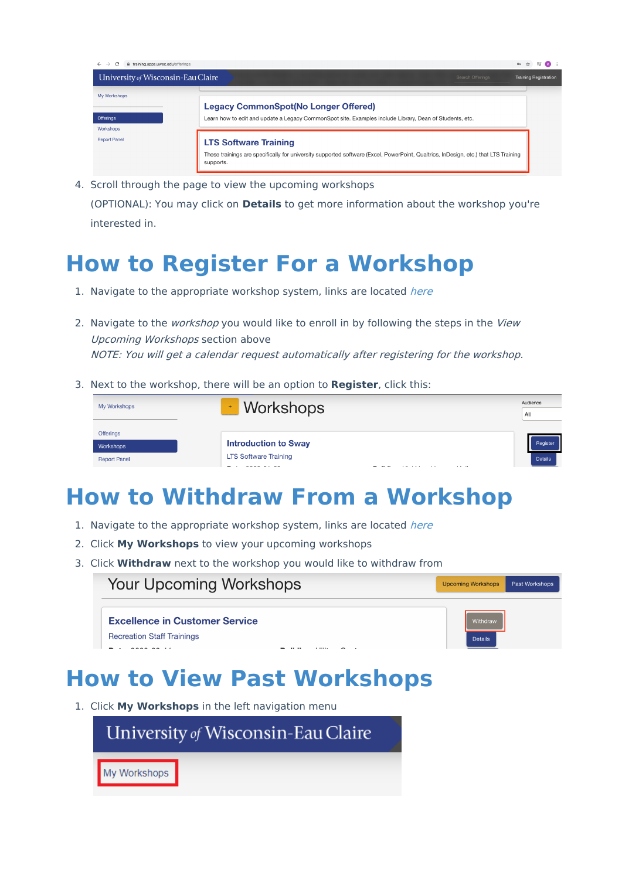| ii training.apps.uwec.edu/offerings<br>C<br>$\leftarrow$<br>$\rightarrow$ |                                                                                                                                                                                  | $\mathsf{O}_{\mathsf{T}}$ $\uparrow$ $\uparrow$ $\uparrow$ | (K) |
|---------------------------------------------------------------------------|----------------------------------------------------------------------------------------------------------------------------------------------------------------------------------|------------------------------------------------------------|-----|
| University of Wisconsin-Eau Claire                                        | Search Offerings                                                                                                                                                                 | <b>Training Registration</b>                               |     |
| My Workshops                                                              | <b>Legacy CommonSpot(No Longer Offered)</b>                                                                                                                                      |                                                            |     |
| Offerings<br>Workshops                                                    | Learn how to edit and update a Legacy CommonSpot site. Examples include Library, Dean of Students, etc.                                                                          |                                                            |     |
| <b>Report Panel</b>                                                       | <b>LTS Software Training</b><br>These trainings are specifically for university supported software (Excel, PowerPoint, Qualtrics, InDesign, etc.) that LTS Training<br>supports. |                                                            |     |

4. Scroll through the page to view the upcoming workshops (OPTIONAL): You may click on **Details** to get more information about the workshop you're interested in.

## **How to Register For a Workshop**

- 1. Navigate to the appropriate workshop system, links are located [here](http://kb.uwec.edu/#Workshop%20Participants%20Section)
- 2. Navigate to the *workshop* you would like to enroll in by following the steps in the View Upcoming Workshops section above NOTE: You will get <sup>a</sup> calendar request automatically after registering for the workshop.
- 3. Next to the workshop, there will be an option to **Register**, click this:

| My Workshops        | <b>Workshops</b><br>$\pm$                            | Audience       |  |
|---------------------|------------------------------------------------------|----------------|--|
|                     |                                                      |                |  |
| Offerings           |                                                      |                |  |
| Workshops           | <b>Introduction to Sway</b>                          | Register       |  |
| <b>Report Panel</b> | <b>LTS Software Training</b><br>$\cdots$<br>. .<br>. | <b>Details</b> |  |

## **How to Withdraw From a Workshop**

 $\mathbf{L}$  and  $\mathbf{L}$  and  $\mathbf{L}$ 

- 1. Navigate to the appropriate workshop system, links are located [here](http://kb.uwec.edu/#Workshop%20Participants%20Section)
- 2. Click **My Workshops** to view your upcoming workshops
- 3. Click **Withdraw** next to the workshop you would like to withdraw from

**Your Upcoming Workshops** 

Past Workshops Upcoming Workshops

Details

**Excellence in Customer Service** 

**Recreation Staff Trainings** 

## **How to View Past Workshops**

1. Click **My Workshops** in the left navigation menu

University of Wisconsin-Eau Claire

My Workshops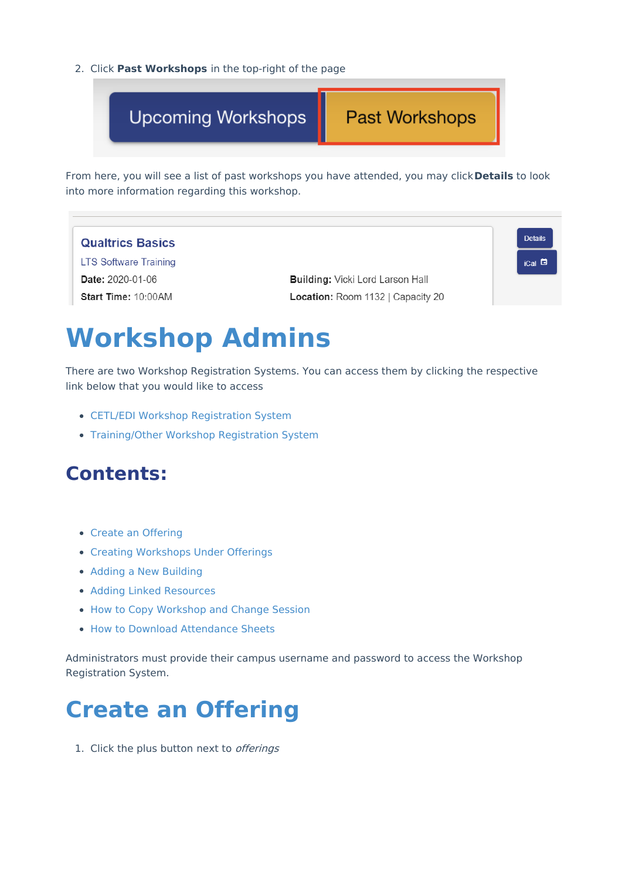2. Click **Past Workshops** in the top-right of the page

**Upcoming Workshops** 

#### **Past Workshops**

From here, you will see a list of past workshops you have attended, you may click**Details** to look into more information regarding this workshop.



## **Workshop Admins**

There are two Workshop Registration Systems. You can access them by clicking the respective link below that you would like to access

- CETL/EDI Workshop [Registration](https://cetlregistration.apps.uwec.edu/workshops) System
- [Training/Other](https://training.apps.uwec.edu/) Workshop Registration System

## **Contents:**

- Create an [Offering](http://kb.uwec.edu/#Create)
- Creating [Workshops](http://kb.uwec.edu/#Creating) Under Offerings
- Adding a New [Building](http://kb.uwec.edu/#Adding)
- Adding Linked [Resources](http://kb.uwec.edu/#Adding%20Linked)
- How to Copy [Workshop](http://kb.uwec.edu/#How%20to%20copy) and Change Session
- How to Download [Attendance](http://kb.uwec.edu/#How%20to%20download) Sheets

Administrators must provide their campus username and password to access the Workshop Registration System.

## **Create an Offering**

1. Click the plus button next to offerings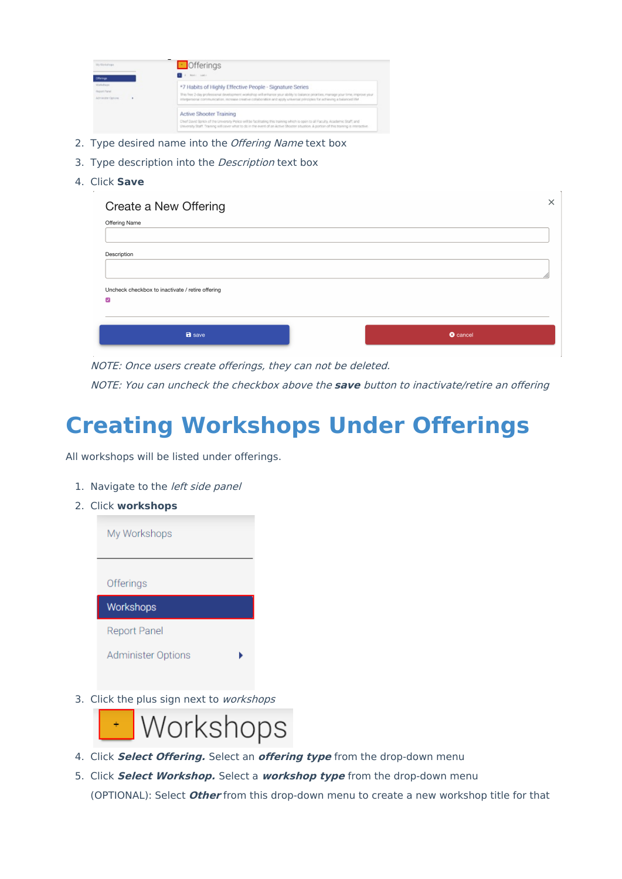| My Wellefinger     | $\Box$ Offerings                                                                                                                                                                                                                                                           |
|--------------------|----------------------------------------------------------------------------------------------------------------------------------------------------------------------------------------------------------------------------------------------------------------------------|
| Offerings          | 2 P. Mott, Latin                                                                                                                                                                                                                                                           |
| Warkships          | *7 Habits of Highly Effective People - Signature Series                                                                                                                                                                                                                    |
| <b>Report Rand</b> | This free 2-day professional development workshop will enhance your sbildy to balance pronties, manage your time, improve your                                                                                                                                             |
| Administer Options | interpersional communication, increase creative collaboration and apply universal principles for achieving a balanced life!                                                                                                                                                |
|                    | <b>Active Shooter Training</b>                                                                                                                                                                                                                                             |
|                    | Chief David Sprick of the University Police will be facilitating this training which is open to all Faculty, Academic Staff, and<br>University Staff Training will cover what to do in the event of an Active Shocter situation. A portion of this training is interactive |

- 2. Type desired name into the Offering Name text box
- 3. Type description into the *Description* text box
- 4. Click **Save**

| <b>Offering Name</b>                             |  |
|--------------------------------------------------|--|
|                                                  |  |
| Description                                      |  |
|                                                  |  |
| Uncheck checkbox to inactivate / retire offering |  |
| $\triangledown$                                  |  |
|                                                  |  |
|                                                  |  |

NOTE: Once users create offerings, they can not be deleted.

NOTE: You can uncheck the checkbox above the **save** button to inactivate/retire an offering

## **Creating Workshops Under Offerings**

All workshops will be listed under offerings.

- 1. Navigate to the *left side panel*
- 2. Click **workshops**

| My Workshops        |  |
|---------------------|--|
| Offerings           |  |
| Workshops           |  |
| <b>Report Panel</b> |  |
| Administer Options  |  |

3. Click the plus sign next to workshops



- 4. Click **Select Offering.** Select an **offering type** from the drop-down menu
- 5. Click **Select Workshop.** Select a **workshop type** from the drop-down menu (OPTIONAL): Select **Other** from this drop-down menu to create a new workshop title for that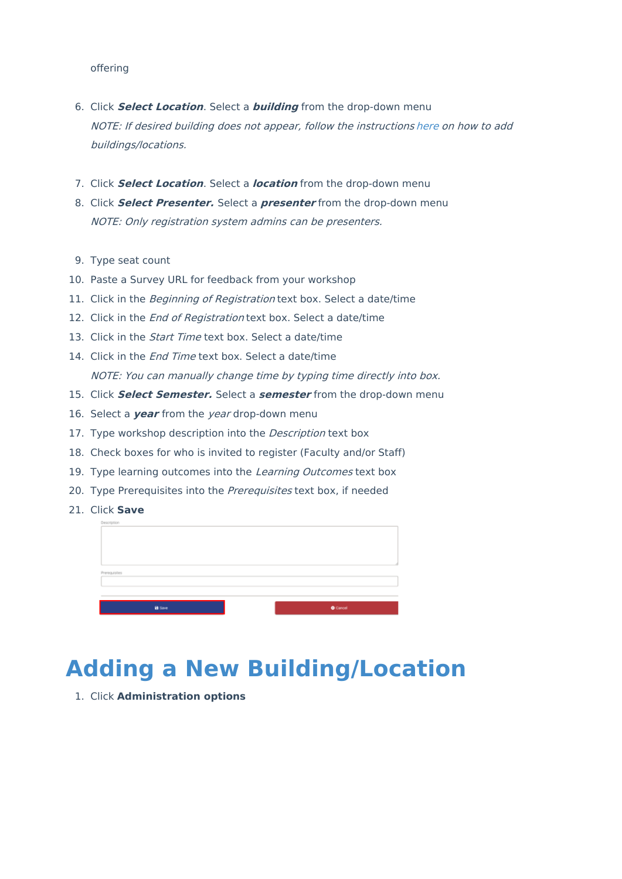#### offering

- 6. Click **Select Location**. Select a **building** from the drop-down menu NOTE: If desired building does not appear, follow the instructions [here](http://kb.uwec.edu/#Adding) on how to add buildings/locations.
- 7. Click **Select Location**. Select a **location** from the drop-down menu
- 8. Click **Select Presenter.** Select a **presenter** from the drop-down menu NOTE: Only registration system admins can be presenters.
- 9. Type seat count
- 10. Paste a Survey URL for feedback from your workshop
- 11. Click in the Beginning of Registration text box. Select a date/time
- 12. Click in the *End of Registration* text box. Select a date/time
- 13. Click in the *Start Time* text box. Select a date/time
- 14. Click in the *End Time* text box. Select a date/time NOTE: You can manually change time by typing time directly into box.
- 15. Click **Select Semester.** Select a **semester** from the drop-down menu
- 16. Select a **year** from the year drop-down menu
- 17. Type workshop description into the *Description* text box
- 18. Check boxes for who is invited to register (Faculty and/or Staff)
- 19. Type learning outcomes into the Learning Outcomes text box
- 20. Type Prerequisites into the Prerequisites text box, if needed
- 21. Click **Save**



## **Adding a New Building/Location**

1. Click **Administration options**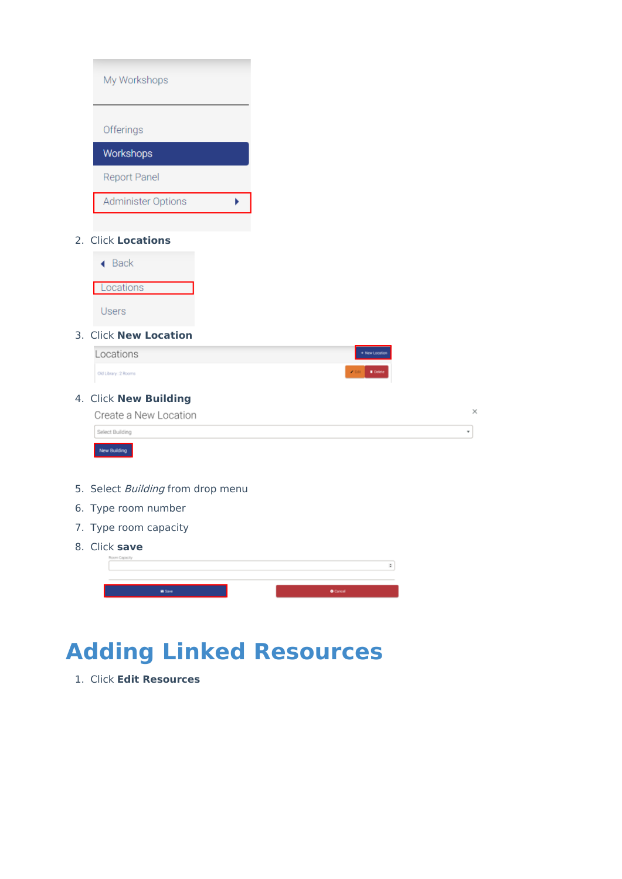| My Workshops                      |
|-----------------------------------|
| Offerings                         |
|                                   |
| Workshops                         |
| Report Panel                      |
| Administer Options<br>k           |
|                                   |
| 2. Click Locations                |
| $\triangleleft$ Back              |
| Locations                         |
|                                   |
| Users                             |
| 3. Click New Location             |
| Locations                         |
| Old Library: 2 Rooms              |
| 4. Click New Building             |
| Create a New Location             |
| Select Building                   |
| New Building                      |
|                                   |
| 5. Select Building from drop menu |
| 6. Type room number               |
| 7. Type room capacity             |
| 8. Click save                     |
| Room Capacity                     |
| in Save                           |

## **Adding Linked Resources**

1. Click **Edit Resources**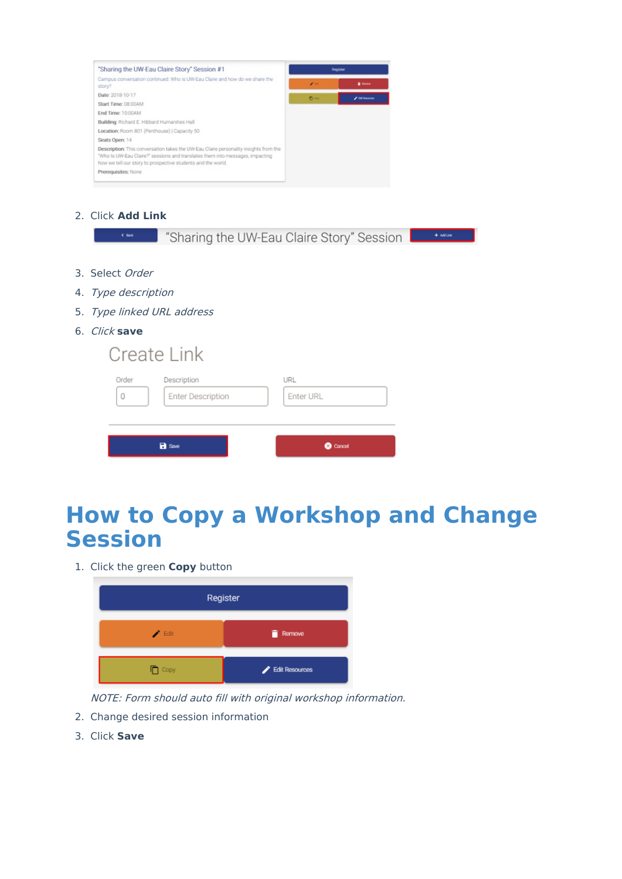

2. Click **Add Link**

| "Sharing the UW-Eau Claire Story" Session<br>$4$ Back<br>$+$ Addise       |
|---------------------------------------------------------------------------|
|                                                                           |
| 3. Select Order                                                           |
| 4. Type description                                                       |
| 5. Type linked URL address                                                |
| 6. Click save                                                             |
| Create Link                                                               |
| Order<br>Description<br>URL<br>0<br><b>Enter Description</b><br>Enter URL |
| <b>B</b> Save<br><b>8</b> Cancel                                          |

## **How to Copy a Workshop and Change Session**

1. Click the green **Copy** button

| Register                   |                |  |
|----------------------------|----------------|--|
| $\blacktriangleright$ Edit | <b>Remove</b>  |  |
| $\Box$ Copy                | Edit Resources |  |

NOTE: Form should auto fill with original workshop information.

- 2. Change desired session information
- 3. Click **Save**